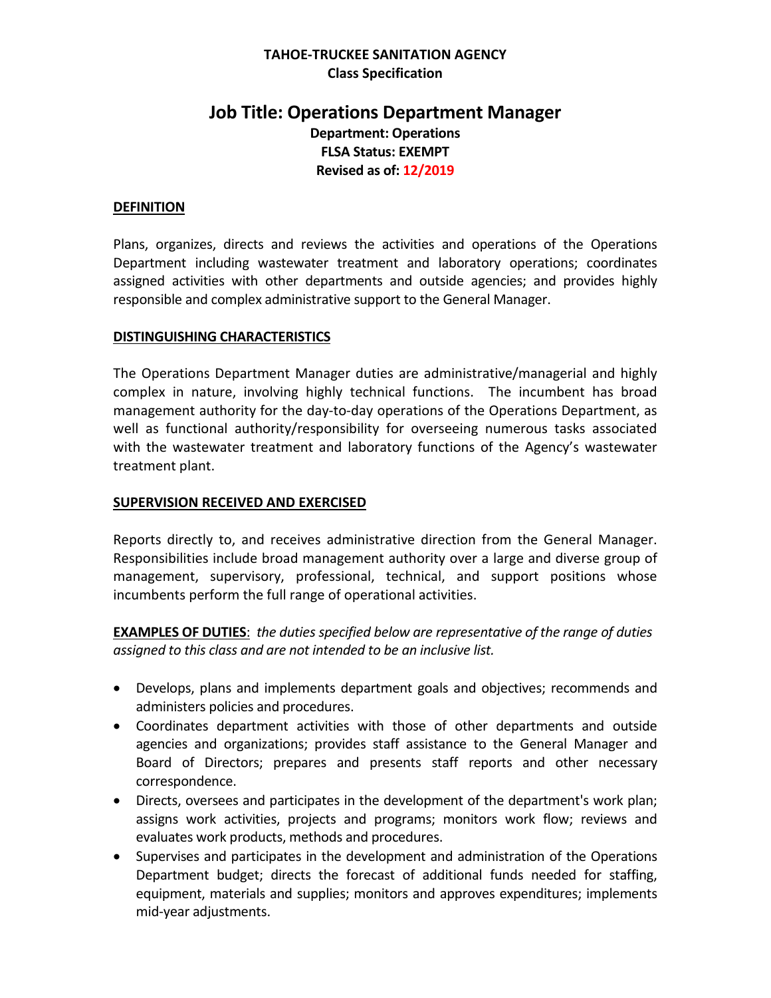# **TAHOE-TRUCKEE SANITATION AGENCY Class Specification**

# **Job Title: Operations Department Manager Department: Operations FLSA Status: EXEMPT Revised as of: 12/2019**

#### **DEFINITION**

Plans, organizes, directs and reviews the activities and operations of the Operations Department including wastewater treatment and laboratory operations; coordinates assigned activities with other departments and outside agencies; and provides highly responsible and complex administrative support to the General Manager.

#### **DISTINGUISHING CHARACTERISTICS**

The Operations Department Manager duties are administrative/managerial and highly complex in nature, involving highly technical functions. The incumbent has broad management authority for the day-to-day operations of the Operations Department, as well as functional authority/responsibility for overseeing numerous tasks associated with the wastewater treatment and laboratory functions of the Agency's wastewater treatment plant.

#### **SUPERVISION RECEIVED AND EXERCISED**

Reports directly to, and receives administrative direction from the General Manager. Responsibilities include broad management authority over a large and diverse group of management, supervisory, professional, technical, and support positions whose incumbents perform the full range of operational activities.

**EXAMPLES OF DUTIES**: *the duties specified below are representative of the range of duties assigned to this class and are not intended to be an inclusive list.* 

- Develops, plans and implements department goals and objectives; recommends and administers policies and procedures.
- Coordinates department activities with those of other departments and outside agencies and organizations; provides staff assistance to the General Manager and Board of Directors; prepares and presents staff reports and other necessary correspondence.
- Directs, oversees and participates in the development of the department's work plan; assigns work activities, projects and programs; monitors work flow; reviews and evaluates work products, methods and procedures.
- Supervises and participates in the development and administration of the Operations Department budget; directs the forecast of additional funds needed for staffing, equipment, materials and supplies; monitors and approves expenditures; implements mid-year adjustments.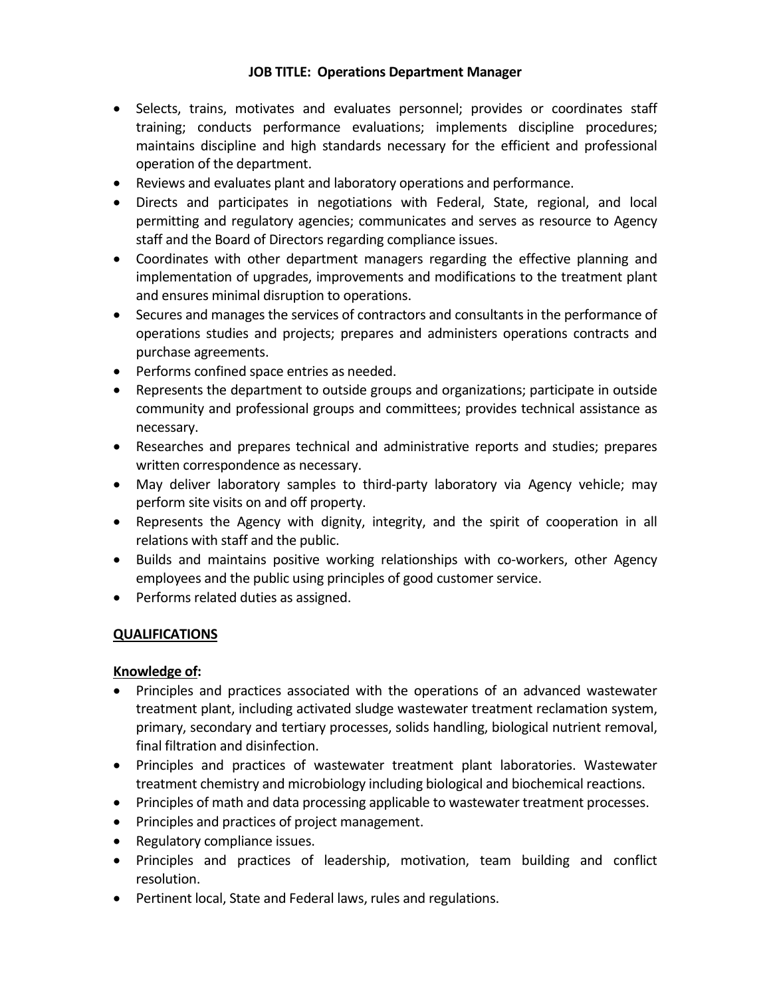- Selects, trains, motivates and evaluates personnel; provides or coordinates staff training; conducts performance evaluations; implements discipline procedures; maintains discipline and high standards necessary for the efficient and professional operation of the department.
- Reviews and evaluates plant and laboratory operations and performance.
- Directs and participates in negotiations with Federal, State, regional, and local permitting and regulatory agencies; communicates and serves as resource to Agency staff and the Board of Directors regarding compliance issues.
- Coordinates with other department managers regarding the effective planning and implementation of upgrades, improvements and modifications to the treatment plant and ensures minimal disruption to operations.
- Secures and manages the services of contractors and consultants in the performance of operations studies and projects; prepares and administers operations contracts and purchase agreements.
- Performs confined space entries as needed.
- Represents the department to outside groups and organizations; participate in outside community and professional groups and committees; provides technical assistance as necessary.
- Researches and prepares technical and administrative reports and studies; prepares written correspondence as necessary.
- May deliver laboratory samples to third-party laboratory via Agency vehicle; may perform site visits on and off property.
- Represents the Agency with dignity, integrity, and the spirit of cooperation in all relations with staff and the public.
- Builds and maintains positive working relationships with co-workers, other Agency employees and the public using principles of good customer service.
- Performs related duties as assigned.

# **QUALIFICATIONS**

## **Knowledge of:**

- Principles and practices associated with the operations of an advanced wastewater treatment plant, including activated sludge wastewater treatment reclamation system, primary, secondary and tertiary processes, solids handling, biological nutrient removal, final filtration and disinfection.
- Principles and practices of wastewater treatment plant laboratories. Wastewater treatment chemistry and microbiology including biological and biochemical reactions.
- Principles of math and data processing applicable to wastewater treatment processes.
- Principles and practices of project management.
- Regulatory compliance issues.
- Principles and practices of leadership, motivation, team building and conflict resolution.
- Pertinent local, State and Federal laws, rules and regulations.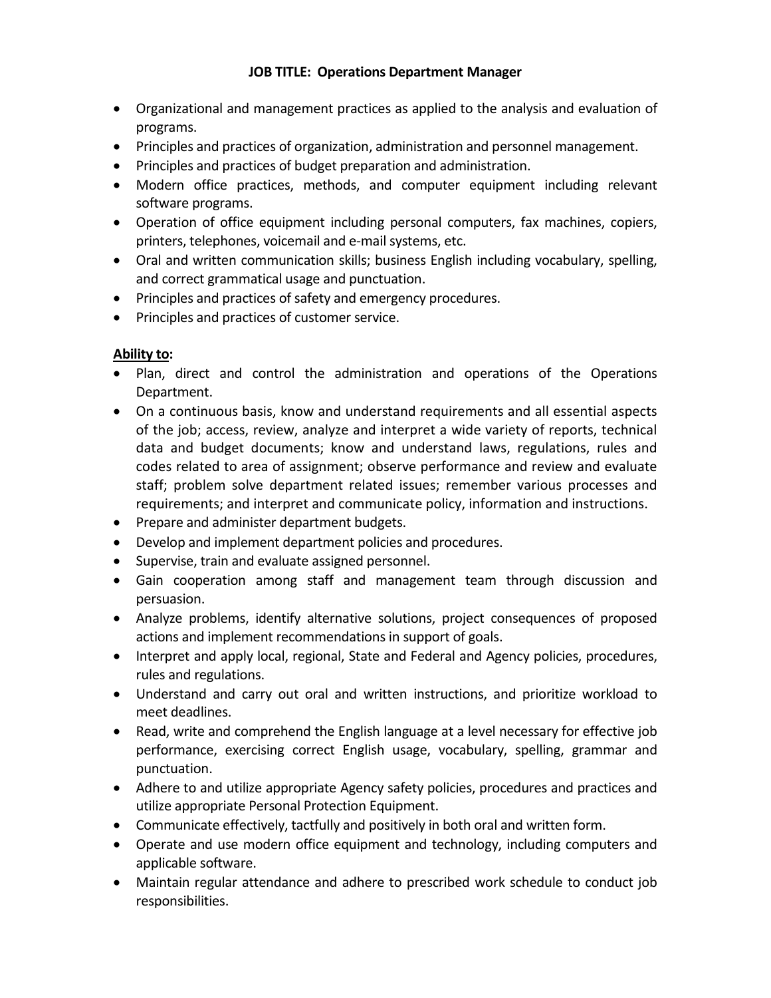- Organizational and management practices as applied to the analysis and evaluation of programs.
- Principles and practices of organization, administration and personnel management.
- Principles and practices of budget preparation and administration.
- Modern office practices, methods, and computer equipment including relevant software programs.
- Operation of office equipment including personal computers, fax machines, copiers, printers, telephones, voicemail and e-mail systems, etc.
- Oral and written communication skills; business English including vocabulary, spelling, and correct grammatical usage and punctuation.
- Principles and practices of safety and emergency procedures.
- Principles and practices of customer service.

# **Ability to:**

- Plan, direct and control the administration and operations of the Operations Department.
- On a continuous basis, know and understand requirements and all essential aspects of the job; access, review, analyze and interpret a wide variety of reports, technical data and budget documents; know and understand laws, regulations, rules and codes related to area of assignment; observe performance and review and evaluate staff; problem solve department related issues; remember various processes and requirements; and interpret and communicate policy, information and instructions.
- Prepare and administer department budgets.
- Develop and implement department policies and procedures.
- Supervise, train and evaluate assigned personnel.
- Gain cooperation among staff and management team through discussion and persuasion.
- Analyze problems, identify alternative solutions, project consequences of proposed actions and implement recommendations in support of goals.
- Interpret and apply local, regional, State and Federal and Agency policies, procedures, rules and regulations.
- Understand and carry out oral and written instructions, and prioritize workload to meet deadlines.
- Read, write and comprehend the English language at a level necessary for effective job performance, exercising correct English usage, vocabulary, spelling, grammar and punctuation.
- Adhere to and utilize appropriate Agency safety policies, procedures and practices and utilize appropriate Personal Protection Equipment.
- Communicate effectively, tactfully and positively in both oral and written form.
- Operate and use modern office equipment and technology, including computers and applicable software.
- Maintain regular attendance and adhere to prescribed work schedule to conduct job responsibilities.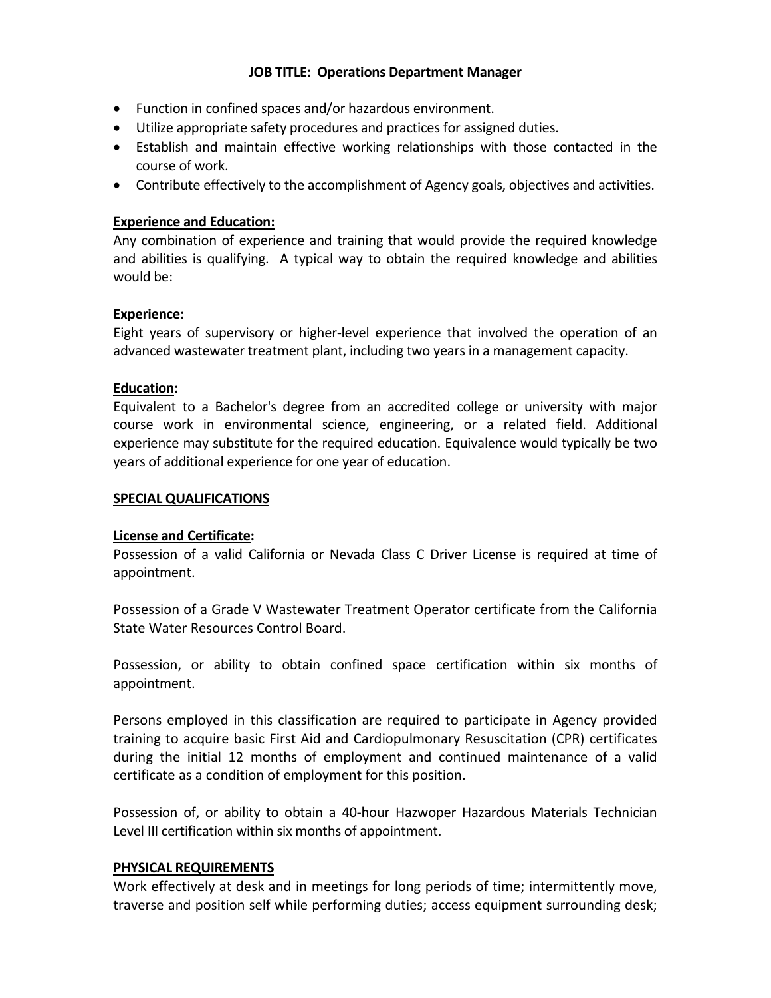- Function in confined spaces and/or hazardous environment.
- Utilize appropriate safety procedures and practices for assigned duties.
- Establish and maintain effective working relationships with those contacted in the course of work.
- Contribute effectively to the accomplishment of Agency goals, objectives and activities.

# **Experience and Education:**

Any combination of experience and training that would provide the required knowledge and abilities is qualifying. A typical way to obtain the required knowledge and abilities would be:

## **Experience:**

Eight years of supervisory or higher-level experience that involved the operation of an advanced wastewater treatment plant, including two years in a management capacity.

## **Education:**

Equivalent to a Bachelor's degree from an accredited college or university with major course work in environmental science, engineering, or a related field. Additional experience may substitute for the required education. Equivalence would typically be two years of additional experience for one year of education.

#### **SPECIAL QUALIFICATIONS**

## **License and Certificate:**

Possession of a valid California or Nevada Class C Driver License is required at time of appointment.

Possession of a Grade V Wastewater Treatment Operator certificate from the California State Water Resources Control Board.

Possession, or ability to obtain confined space certification within six months of appointment.

Persons employed in this classification are required to participate in Agency provided training to acquire basic First Aid and Cardiopulmonary Resuscitation (CPR) certificates during the initial 12 months of employment and continued maintenance of a valid certificate as a condition of employment for this position.

Possession of, or ability to obtain a 40-hour Hazwoper Hazardous Materials Technician Level III certification within six months of appointment.

## **PHYSICAL REQUIREMENTS**

Work effectively at desk and in meetings for long periods of time; intermittently move, traverse and position self while performing duties; access equipment surrounding desk;